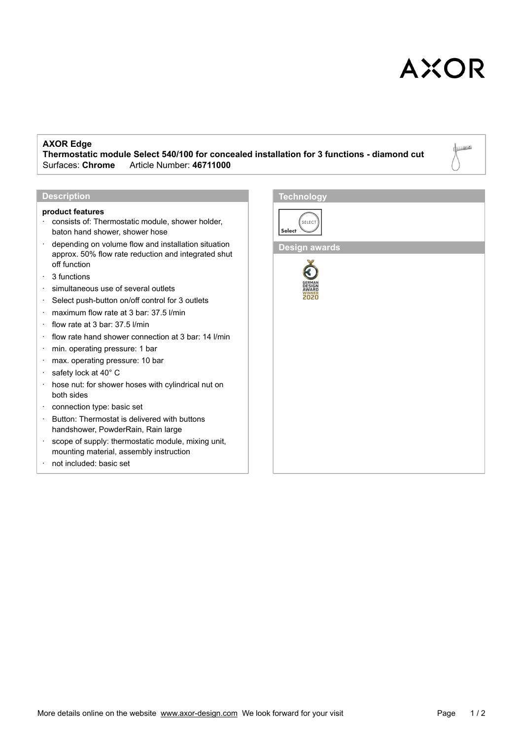# **AXOR**

Lijoo

### **AXOR Edge**

**Thermostatic module Select 540/100 for concealed installation for 3 functions - diamond cut** Surfaces: **Chrome**\_\_\_Article Number: **46711000**

### **Description**

#### **product features**

- consists of: Thermostatic module, shower holder, baton hand shower, shower hose
- depending on volume flow and installation situation approx. 50% flow rate reduction and integrated shut off function
- · 3 functions
- · simultaneous use of several outlets
- · Select push-button on/off control for 3 outlets
- · maximum flow rate at 3 bar: 37.5 l/min
- · flow rate at 3 bar: 37.5 l/min
- · flow rate hand shower connection at 3 bar: 14 l/min
- · min. operating pressure: 1 bar
- · max. operating pressure: 10 bar
- · safety lock at 40° C
- · hose nut: for shower hoses with cylindrical nut on both sides
- · connection type: basic set
- · Button: Thermostat is delivered with buttons handshower, PowderRain, Rain large
- · scope of supply: thermostatic module, mixing unit, mounting material, assembly instruction
- not included: basic set



**Design awards**